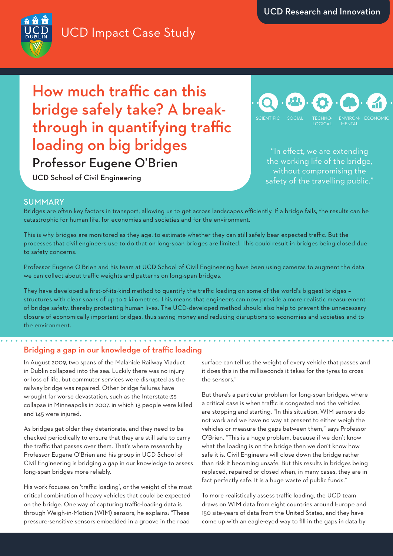# UCD Impact Case Study



How much traffic can this bridge safely take? A breakthrough in quantifying traffic loading on big bridges The offect, we are extending Professor Eugene O'Brien

UCD School of Civil Engineering



the working life of the bridge, without compromising the safety of the travelling public."

### SUMMARY

Bridges are often key factors in transport, allowing us to get across landscapes efficiently. If a bridge fails, the results can be catastrophic for human life, for economies and societies and for the environment.

This is why bridges are monitored as they age, to estimate whether they can still safely bear expected traffic. But the processes that civil engineers use to do that on long-span bridges are limited. This could result in bridges being closed due to safety concerns.

Professor Eugene O'Brien and his team at UCD School of Civil Engineering have been using cameras to augment the data we can collect about traffic weights and patterns on long-span bridges.

They have developed a first-of-its-kind method to quantify the traffic loading on some of the world's biggest bridges – structures with clear spans of up to 2 kilometres. This means that engineers can now provide a more realistic measurement of bridge safety, thereby protecting human lives. The UCD-developed method should also help to prevent the unnecessary closure of economically important bridges, thus saving money and reducing disruptions to economies and societies and to the environment.

## Bridging a gap in our knowledge of traffic loading

In August 2009, two spans of the Malahide Railway Viaduct in Dublin collapsed into the sea. Luckily there was no injury or loss of life, but commuter services were disrupted as the railway bridge was repaired. Other bridge failures have wrought far worse devastation, such as the Interstate-35 collapse in Minneapolis in 2007, in which 13 people were killed and 145 were injured.

As bridges get older they deteriorate, and they need to be checked periodically to ensure that they are still safe to carry the traffic that passes over them. That's where research by Professor Eugene O'Brien and his group in UCD School of Civil Engineering is bridging a gap in our knowledge to assess long-span bridges more reliably.

His work focuses on 'traffic loading', or the weight of the most critical combination of heavy vehicles that could be expected on the bridge. One way of capturing traffic-loading data is through Weigh-in-Motion (WIM) sensors, he explains: "These pressure-sensitive sensors embedded in a groove in the road

surface can tell us the weight of every vehicle that passes and it does this in the milliseconds it takes for the tyres to cross the sensors."

But there's a particular problem for long-span bridges, where a critical case is when traffic is congested and the vehicles are stopping and starting. "In this situation, WIM sensors do not work and we have no way at present to either weigh the vehicles or measure the gaps between them," says Professor O'Brien. "This is a huge problem, because if we don't know what the loading is on the bridge then we don't know how safe it is. Civil Engineers will close down the bridge rather than risk it becoming unsafe. But this results in bridges being replaced, repaired or closed when, in many cases, they are in fact perfectly safe. It is a huge waste of public funds."

To more realistically assess traffic loading, the UCD team draws on WIM data from eight countries around Europe and 150 site-years of data from the United States, and they have come up with an eagle-eyed way to fill in the gaps in data by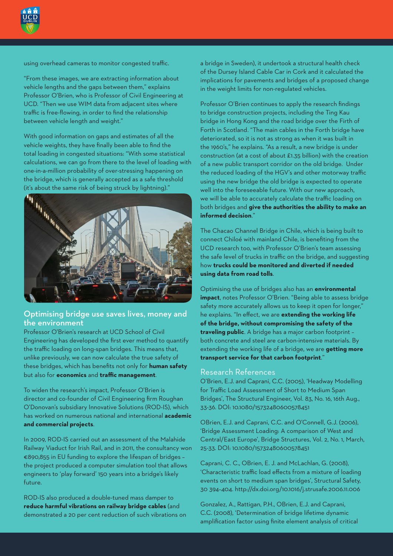

using overhead cameras to monitor congested traffic.

"From these images, we are extracting information about vehicle lengths and the gaps between them," explains Professor O'Brien, who is Professor of Civil Engineering at UCD. "Then we use WIM data from adjacent sites where traffic is free-flowing, in order to find the relationship between vehicle length and weight."

With good information on gaps and estimates of all the vehicle weights, they have finally been able to find the total loading in congested situations: "With some statistical calculations, we can go from there to the level of loading with one-in-a-million probability of over-stressing happening on the bridge, which is generally accepted as a safe threshold (it's about the same risk of being struck by lightning)."



## Optimising bridge use saves lives, money and the environment

Professor O'Brien's research at UCD School of Civil Engineering has developed the first ever method to quantify the traffic loading on long-span bridges. This means that, unlike previously, we can now calculate the true safety of these bridges, which has benefits not only for **human safety** but also for **economics** and **traffic management**.

To widen the research's impact, Professor O'Brien is director and co-founder of Civil Engineering firm Roughan O'Donovan's subsidiary Innovative Solutions (ROD-IS), which has worked on numerous national and international **academic and commercial projects**.

In 2009, ROD-IS carried out an assessment of the Malahide Railway Viaduct for Irish Rail, and in 2011, the consultancy won €890,855 in EU funding to explore the lifespan of bridges – the project produced a computer simulation tool that allows engineers to 'play forward' 150 years into a bridge's likely future.

ROD-IS also produced a double-tuned mass damper to **reduce harmful vibrations on railway bridge cables** (and demonstrated a 20 per cent reduction of such vibrations on a bridge in Sweden), it undertook a structural health check of the Dursey Island Cable Car in Cork and it calculated the implications for pavements and bridges of a proposed change in the weight limits for non-regulated vehicles.

Professor O'Brien continues to apply the research findings to bridge construction projects, including the Ting Kau bridge in Hong Kong and the road bridge over the Firth of Forth in Scotland. "The main cables in the Forth bridge have deteriorated, so it is not as strong as when it was built in the 1960's," he explains. "As a result, a new bridge is under construction (at a cost of about £1.35 billion) with the creation of a new public transport corridor on the old bridge. Under the reduced loading of the HGV's and other motorway traffic using the new bridge the old bridge is expected to operate well into the foreseeable future. With our new approach, we will be able to accurately calculate the traffic loading on both bridges and **give the authorities the ability to make an informed decision**."

The Chacao Channel Bridge in Chile, which is being built to connect Chiloé with mainland Chile, is benefiting from the UCD research too, with Professor O'Brien's team assessing the safe level of trucks in traffic on the bridge, and suggesting how **trucks could be monitored and diverted if needed using data from road tolls**.

Optimising the use of bridges also has an **environmental impact**, notes Professor O'Brien. "Being able to assess bridge safety more accurately allows us to keep it open for longer," he explains. "In effect, we are **extending the working life of the bridge, without compromising the safety of the traveling public**. A bridge has a major carbon footprint – both concrete and steel are carbon-intensive materials. By extending the working life of a bridge, we are **getting more transport service for that carbon footprint**."

#### Research References

O'Brien, E.J. and Caprani, C.C. (2005), 'Headway Modelling for Traffic Load Assessment of Short to Medium Span Bridges', The Structural Engineer, Vol. 83, No. 16, 16th Aug., 33-36. DOI: 10.1080/15732480600578451

OBrien, E.J. and Caprani, C.C. and O'Connell, G.J. (2006), 'Bridge Assessment Loading: A comparison of West and Central/East Europe', Bridge Structures, Vol. 2, No. 1, March, 25-33. DOI: 10.1080/15732480600578451

Caprani, C. C., OBrien, E. J. and McLachlan, G. (2008), 'Characteristic traffic load effects from a mixture of loading events on short to medium span bridges', Structural Safety, 30 394–404. http://dx.doi.org/10.1016/j.strusafe.2006.11.006

Gonzalez, A., Rattigan, P.H., OBrien, E.J. and Caprani, C.C. (2008), 'Determination of bridge lifetime dynamic amplification factor using finite element analysis of critical